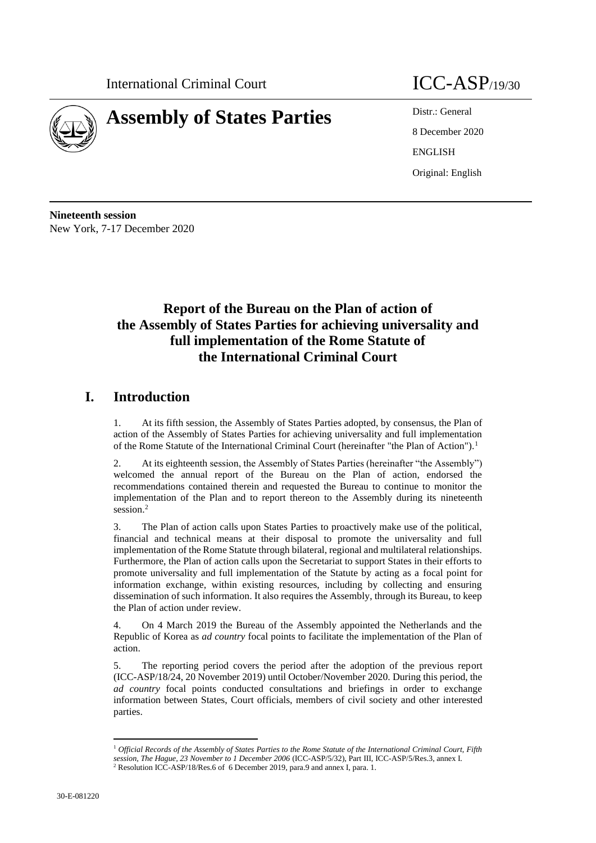

# **Assembly of States Parties** Distr.: General

8 December 2020 ENGLISH Original: English

**Nineteenth session** New York, 7-17 December 2020

# **Report of the Bureau on the Plan of action of the Assembly of States Parties for achieving universality and full implementation of the Rome Statute of the International Criminal Court**

# **I. Introduction**

1. At its fifth session, the Assembly of States Parties adopted, by consensus, the Plan of action of the Assembly of States Parties for achieving universality and full implementation of the Rome Statute of the International Criminal Court (hereinafter "the Plan of Action").<sup>1</sup>

2. At its eighteenth session, the Assembly of States Parties (hereinafter "the Assembly") welcomed the annual report of the Bureau on the Plan of action, endorsed the recommendations contained therein and requested the Bureau to continue to monitor the implementation of the Plan and to report thereon to the Assembly during its nineteenth session.<sup>2</sup>

3. The Plan of action calls upon States Parties to proactively make use of the political, financial and technical means at their disposal to promote the universality and full implementation of the Rome Statute through bilateral, regional and multilateral relationships. Furthermore, the Plan of action calls upon the Secretariat to support States in their efforts to promote universality and full implementation of the Statute by acting as a focal point for information exchange, within existing resources, including by collecting and ensuring dissemination of such information. It also requires the Assembly, through its Bureau, to keep the Plan of action under review.

4. On 4 March 2019 the Bureau of the Assembly appointed the Netherlands and the Republic of Korea as *ad country* focal points to facilitate the implementation of the Plan of action.

5. The reporting period covers the period after the adoption of the previous report (ICC-ASP/18/24, 20 November 2019) until October/November 2020. During this period, the *ad country* focal points conducted consultations and briefings in order to exchange information between States, Court officials, members of civil society and other interested parties.

<sup>1</sup> *Official Records of the Assembly of States Parties to the Rome Statute of the International Criminal Court, Fifth session, The Hague, 23 November to 1 December 2006* (ICC-ASP/5/32), Part III, ICC-ASP/5/Res.3, annex I.

<sup>&</sup>lt;sup>2</sup> Resolution ICC-ASP/18/Res.6 of 6 December 2019, para.9 and annex I, para. 1.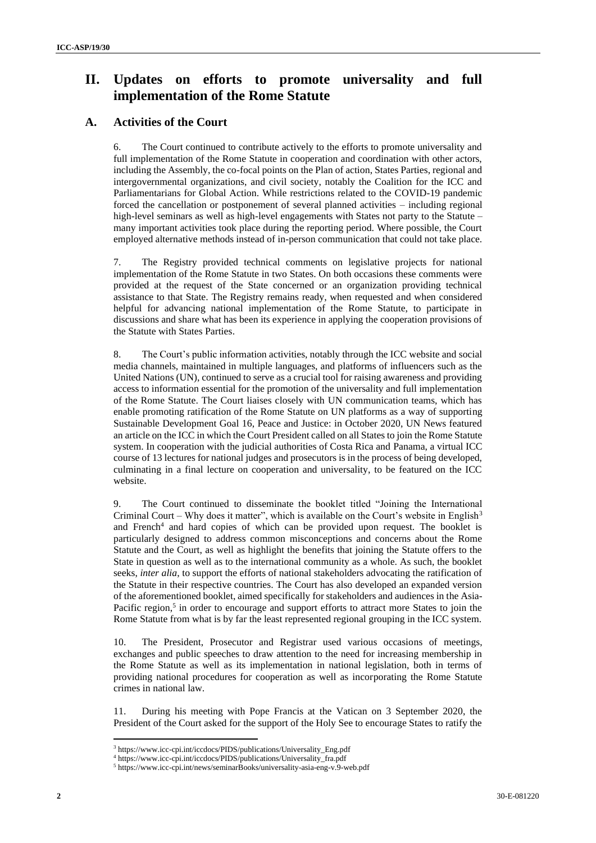# **II. Updates on efforts to promote universality and full implementation of the Rome Statute**

## **A. Activities of the Court**

6. The Court continued to contribute actively to the efforts to promote universality and full implementation of the Rome Statute in cooperation and coordination with other actors, including the Assembly, the co-focal points on the Plan of action, States Parties, regional and intergovernmental organizations, and civil society, notably the Coalition for the ICC and Parliamentarians for Global Action. While restrictions related to the COVID-19 pandemic forced the cancellation or postponement of several planned activities – including regional high-level seminars as well as high-level engagements with States not party to the Statute – many important activities took place during the reporting period. Where possible, the Court employed alternative methods instead of in-person communication that could not take place.

7. The Registry provided technical comments on legislative projects for national implementation of the Rome Statute in two States. On both occasions these comments were provided at the request of the State concerned or an organization providing technical assistance to that State. The Registry remains ready, when requested and when considered helpful for advancing national implementation of the Rome Statute, to participate in discussions and share what has been its experience in applying the cooperation provisions of the Statute with States Parties.

8. The Court's public information activities, notably through the ICC website and social media channels, maintained in multiple languages, and platforms of influencers such as the United Nations (UN), continued to serve as a crucial tool for raising awareness and providing access to information essential for the promotion of the universality and full implementation of the Rome Statute. The Court liaises closely with UN communication teams, which has enable promoting ratification of the Rome Statute on UN platforms as a way of supporting Sustainable Development Goal 16, Peace and Justice: in October 2020, UN News featured an article on the ICC in which the Court President called on all States to join the Rome Statute system. In cooperation with the judicial authorities of Costa Rica and Panama, a virtual ICC course of 13 lectures for national judges and prosecutors is in the process of being developed, culminating in a final lecture on cooperation and universality, to be featured on the ICC website.

9. The Court continued to disseminate the booklet titled "Joining the International Criminal Court – Why does it matter", which is available on the Court's website in English<sup>3</sup> and French<sup>4</sup> and hard copies of which can be provided upon request. The booklet is particularly designed to address common misconceptions and concerns about the Rome Statute and the Court, as well as highlight the benefits that joining the Statute offers to the State in question as well as to the international community as a whole. As such, the booklet seeks, *inter alia*, to support the efforts of national stakeholders advocating the ratification of the Statute in their respective countries. The Court has also developed an expanded version of the aforementioned booklet, aimed specifically for stakeholders and audiences in the Asia-Pacific region,<sup>5</sup> in order to encourage and support efforts to attract more States to join the Rome Statute from what is by far the least represented regional grouping in the ICC system.

10. The President, Prosecutor and Registrar used various occasions of meetings, exchanges and public speeches to draw attention to the need for increasing membership in the Rome Statute as well as its implementation in national legislation, both in terms of providing national procedures for cooperation as well as incorporating the Rome Statute crimes in national law.

11. During his meeting with Pope Francis at the Vatican on 3 September 2020, the President of the Court asked for the support of the Holy See to encourage States to ratify the

<sup>3</sup> https://www.icc-cpi.int/iccdocs/PIDS/publications/Universality\_Eng.pdf

<sup>4</sup> https://www.icc-cpi.int/iccdocs/PIDS/publications/Universality\_fra.pdf

<sup>5</sup> https://www.icc-cpi.int/news/seminarBooks/universality-asia-eng-v.9-web.pdf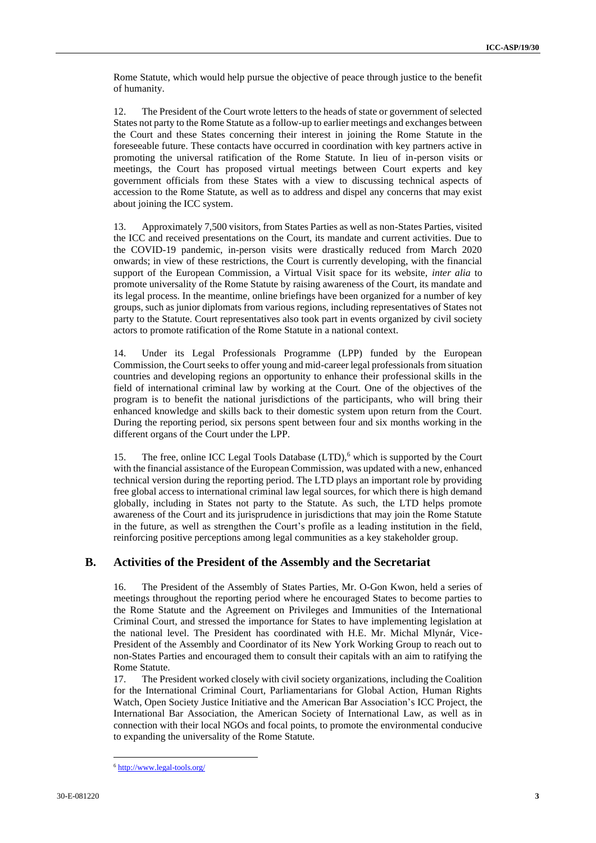Rome Statute, which would help pursue the objective of peace through justice to the benefit of humanity.

12. The President of the Court wrote letters to the heads of state or government of selected States not party to the Rome Statute as a follow-up to earlier meetings and exchanges between the Court and these States concerning their interest in joining the Rome Statute in the foreseeable future. These contacts have occurred in coordination with key partners active in promoting the universal ratification of the Rome Statute. In lieu of in-person visits or meetings, the Court has proposed virtual meetings between Court experts and key government officials from these States with a view to discussing technical aspects of accession to the Rome Statute, as well as to address and dispel any concerns that may exist about joining the ICC system.

13. Approximately 7,500 visitors, from States Parties as well as non-States Parties, visited the ICC and received presentations on the Court, its mandate and current activities. Due to the COVID-19 pandemic, in-person visits were drastically reduced from March 2020 onwards; in view of these restrictions, the Court is currently developing, with the financial support of the European Commission, a Virtual Visit space for its website, *inter alia* to promote universality of the Rome Statute by raising awareness of the Court, its mandate and its legal process. In the meantime, online briefings have been organized for a number of key groups, such as junior diplomats from various regions, including representatives of States not party to the Statute. Court representatives also took part in events organized by civil society actors to promote ratification of the Rome Statute in a national context.

14. Under its Legal Professionals Programme (LPP) funded by the European Commission, the Court seeks to offer young and mid-career legal professionals from situation countries and developing regions an opportunity to enhance their professional skills in the field of international criminal law by working at the Court. One of the objectives of the program is to benefit the national jurisdictions of the participants, who will bring their enhanced knowledge and skills back to their domestic system upon return from the Court. During the reporting period, six persons spent between four and six months working in the different organs of the Court under the LPP.

15. The free, online ICC Legal Tools Database  $(LTD)$ , which is supported by the Court with the financial assistance of the European Commission, was updated with a new, enhanced technical version during the reporting period. The LTD plays an important role by providing free global access to international criminal law legal sources, for which there is high demand globally, including in States not party to the Statute. As such, the LTD helps promote awareness of the Court and its jurisprudence in jurisdictions that may join the Rome Statute in the future, as well as strengthen the Court's profile as a leading institution in the field, reinforcing positive perceptions among legal communities as a key stakeholder group.

#### **B. Activities of the President of the Assembly and the Secretariat**

16. The President of the Assembly of States Parties, Mr. O-Gon Kwon, held a series of meetings throughout the reporting period where he encouraged States to become parties to the Rome Statute and the Agreement on Privileges and Immunities of the International Criminal Court, and stressed the importance for States to have implementing legislation at the national level. The President has coordinated with H.E. Mr. Michal Mlynár, Vice-President of the Assembly and Coordinator of its New York Working Group to reach out to non-States Parties and encouraged them to consult their capitals with an aim to ratifying the Rome Statute.

17. The President worked closely with civil society organizations, including the Coalition for the International Criminal Court, Parliamentarians for Global Action, Human Rights Watch, Open Society Justice Initiative and the American Bar Association's ICC Project, the International Bar Association, the American Society of International Law, as well as in connection with their local NGOs and focal points, to promote the environmental conducive to expanding the universality of the Rome Statute.

<sup>6</sup> <http://www.legal-tools.org/>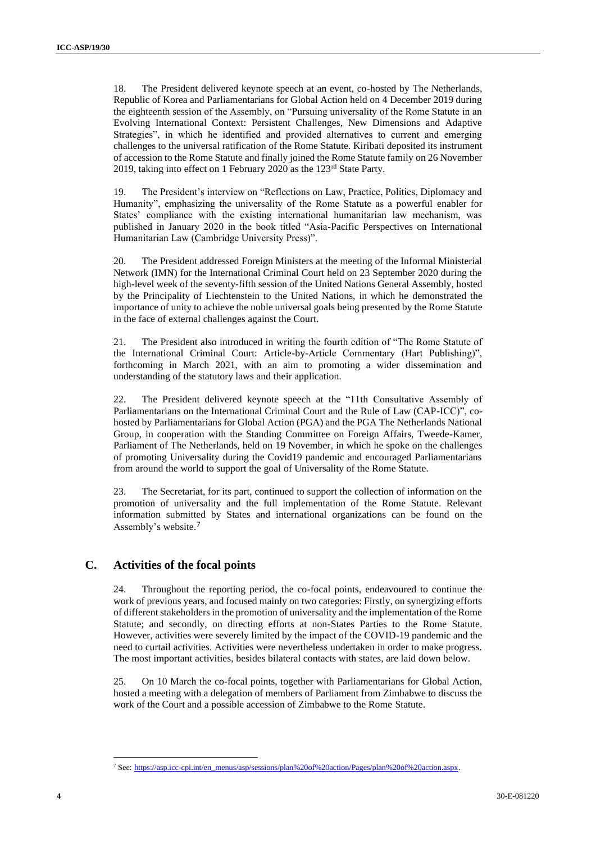18. The President delivered keynote speech at an event, co-hosted by The Netherlands, Republic of Korea and Parliamentarians for Global Action held on 4 December 2019 during the eighteenth session of the Assembly, on "Pursuing universality of the Rome Statute in an Evolving International Context: Persistent Challenges, New Dimensions and Adaptive Strategies", in which he identified and provided alternatives to current and emerging challenges to the universal ratification of the Rome Statute. Kiribati deposited its instrument of accession to the Rome Statute and finally joined the Rome Statute family on 26 November 2019, taking into effect on 1 February 2020 as the 123rd State Party.

19. The President's interview on "Reflections on Law, Practice, Politics, Diplomacy and Humanity", emphasizing the universality of the Rome Statute as a powerful enabler for States' compliance with the existing international humanitarian law mechanism, was published in January 2020 in the book titled "Asia-Pacific Perspectives on International Humanitarian Law (Cambridge University Press)".

20. The President addressed Foreign Ministers at the meeting of the Informal Ministerial Network (IMN) for the International Criminal Court held on 23 September 2020 during the high-level week of the seventy-fifth session of the United Nations General Assembly, hosted by the Principality of Liechtenstein to the United Nations, in which he demonstrated the importance of unity to achieve the noble universal goals being presented by the Rome Statute in the face of external challenges against the Court.

21. The President also introduced in writing the fourth edition of "The Rome Statute of the International Criminal Court: Article-by-Article Commentary (Hart Publishing)", forthcoming in March 2021, with an aim to promoting a wider dissemination and understanding of the statutory laws and their application.

22. The President delivered keynote speech at the "11th Consultative Assembly of Parliamentarians on the International Criminal Court and the Rule of Law (CAP-ICC)", cohosted by Parliamentarians for Global Action (PGA) and the PGA The Netherlands National Group, in cooperation with the Standing Committee on Foreign Affairs, Tweede-Kamer, Parliament of The Netherlands, held on 19 November, in which he spoke on the challenges of promoting Universality during the Covid19 pandemic and encouraged Parliamentarians from around the world to support the goal of Universality of the Rome Statute.

23. The Secretariat, for its part, continued to support the collection of information on the promotion of universality and the full implementation of the Rome Statute. Relevant information submitted by States and international organizations can be found on the Assembly's website.<sup>7</sup>

#### **C. Activities of the focal points**

24. Throughout the reporting period, the co-focal points, endeavoured to continue the work of previous years, and focused mainly on two categories: Firstly, on synergizing efforts of different stakeholders in the promotion of universality and the implementation of the Rome Statute; and secondly, on directing efforts at non-States Parties to the Rome Statute. However, activities were severely limited by the impact of the COVID-19 pandemic and the need to curtail activities. Activities were nevertheless undertaken in order to make progress. The most important activities, besides bilateral contacts with states, are laid down below.

25. On 10 March the co-focal points, together with Parliamentarians for Global Action, hosted a meeting with a delegation of members of Parliament from Zimbabwe to discuss the work of the Court and a possible accession of Zimbabwe to the Rome Statute.

<sup>7</sup> See: [https://asp.icc-cpi.int/en\\_menus/asp/sessions/plan%20of%20action/Pages/plan%20of%20action.aspx.](https://asp.icc-cpi.int/en_menus/asp/sessions/plan%20of%20action/Pages/plan%20of%20action.aspx)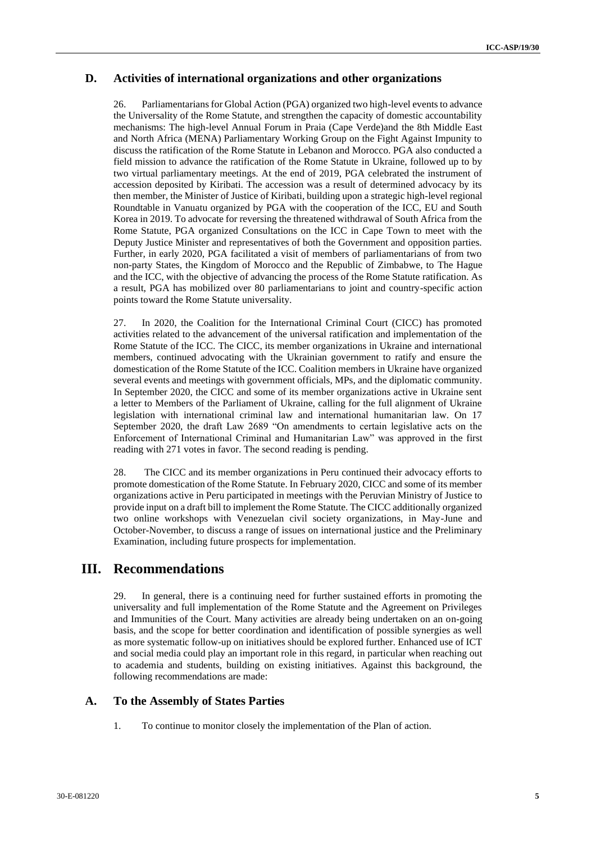#### **D. Activities of international organizations and other organizations**

26. Parliamentarians for Global Action (PGA) organized two high-level events to advance the Universality of the Rome Statute, and strengthen the capacity of domestic accountability mechanisms: The high-level Annual Forum in Praia (Cape Verde)and the 8th Middle East and North Africa (MENA) Parliamentary Working Group on the Fight Against Impunity to discuss the ratification of the Rome Statute in Lebanon and Morocco. PGA also conducted a field mission to advance the ratification of the Rome Statute in Ukraine, followed up to by two virtual parliamentary meetings. At the end of 2019, PGA celebrated the instrument of accession deposited by Kiribati. The accession was a result of determined advocacy by its then member, the Minister of Justice of Kiribati, building upon a strategic high-level regional Roundtable in Vanuatu organized by PGA with the cooperation of the ICC, EU and South Korea in 2019. To advocate for reversing the threatened withdrawal of South Africa from the Rome Statute, PGA organized Consultations on the ICC in Cape Town to meet with the Deputy Justice Minister and representatives of both the Government and opposition parties. Further, in early 2020, PGA facilitated a visit of members of parliamentarians of from two non-party States, the Kingdom of Morocco and the Republic of Zimbabwe, to The Hague and the ICC, with the objective of advancing the process of the Rome Statute ratification. As a result, PGA has mobilized over 80 parliamentarians to joint and country-specific action points toward the Rome Statute universality.

27. In 2020, the Coalition for the International Criminal Court (CICC) has promoted activities related to the advancement of the universal ratification and implementation of the Rome Statute of the ICC. The CICC, its member organizations in Ukraine and international members, continued advocating with the Ukrainian government to ratify and ensure the domestication of the Rome Statute of the ICC. Coalition members in Ukraine have organized several events and meetings with government officials, MPs, and the diplomatic community. In September 2020, the CICC and some of its member organizations active in Ukraine sent a letter to Members of the Parliament of Ukraine, calling for the full alignment of Ukraine legislation with international criminal law and international humanitarian law. On 17 September 2020, the draft Law 2689 "On amendments to certain legislative acts on the Enforcement of International Criminal and Humanitarian Law" was approved in the first reading with 271 votes in favor. The second reading is pending.

28. The CICC and its member organizations in Peru continued their advocacy efforts to promote domestication of the Rome Statute. In February 2020, CICC and some of its member organizations active in Peru participated in meetings with the Peruvian Ministry of Justice to provide input on a draft bill to implement the Rome Statute. The CICC additionally organized two online workshops with Venezuelan civil society organizations, in May-June and October-November, to discuss a range of issues on international justice and the Preliminary Examination, including future prospects for implementation.

## **III. Recommendations**

29. In general, there is a continuing need for further sustained efforts in promoting the universality and full implementation of the Rome Statute and the Agreement on Privileges and Immunities of the Court. Many activities are already being undertaken on an on-going basis, and the scope for better coordination and identification of possible synergies as well as more systematic follow-up on initiatives should be explored further. Enhanced use of ICT and social media could play an important role in this regard, in particular when reaching out to academia and students, building on existing initiatives. Against this background, the following recommendations are made:

#### **A. To the Assembly of States Parties**

1. To continue to monitor closely the implementation of the Plan of action.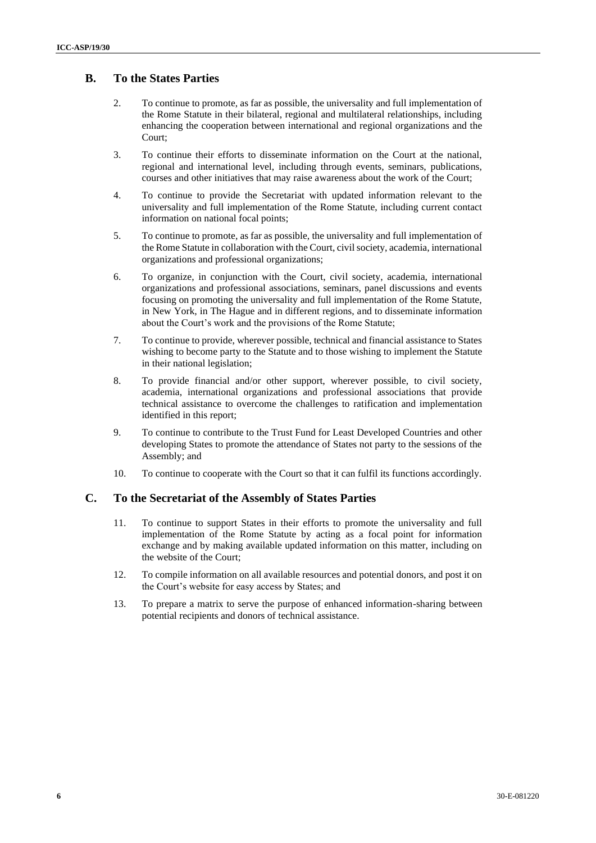## **B. To the States Parties**

- 2. To continue to promote, as far as possible, the universality and full implementation of the Rome Statute in their bilateral, regional and multilateral relationships, including enhancing the cooperation between international and regional organizations and the Court;
- 3. To continue their efforts to disseminate information on the Court at the national, regional and international level, including through events, seminars, publications, courses and other initiatives that may raise awareness about the work of the Court;
- 4. To continue to provide the Secretariat with updated information relevant to the universality and full implementation of the Rome Statute, including current contact information on national focal points;
- 5. To continue to promote, as far as possible, the universality and full implementation of the Rome Statute in collaboration with the Court, civil society, academia, international organizations and professional organizations;
- 6. To organize, in conjunction with the Court, civil society, academia, international organizations and professional associations, seminars, panel discussions and events focusing on promoting the universality and full implementation of the Rome Statute, in New York, in The Hague and in different regions, and to disseminate information about the Court's work and the provisions of the Rome Statute;
- 7. To continue to provide, wherever possible, technical and financial assistance to States wishing to become party to the Statute and to those wishing to implement the Statute in their national legislation;
- 8. To provide financial and/or other support, wherever possible, to civil society, academia, international organizations and professional associations that provide technical assistance to overcome the challenges to ratification and implementation identified in this report;
- 9. To continue to contribute to the Trust Fund for Least Developed Countries and other developing States to promote the attendance of States not party to the sessions of the Assembly; and
- 10. To continue to cooperate with the Court so that it can fulfil its functions accordingly.

#### **C. To the Secretariat of the Assembly of States Parties**

- 11. To continue to support States in their efforts to promote the universality and full implementation of the Rome Statute by acting as a focal point for information exchange and by making available updated information on this matter, including on the website of the Court;
- 12. To compile information on all available resources and potential donors, and post it on the Court's website for easy access by States; and
- 13. To prepare a matrix to serve the purpose of enhanced information-sharing between potential recipients and donors of technical assistance.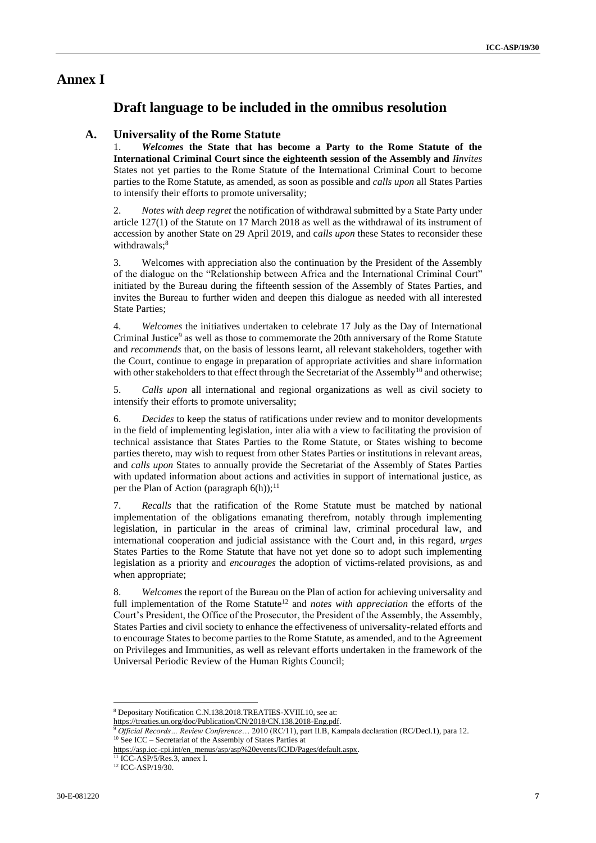## **Annex I**

## **Draft language to be included in the omnibus resolution**

#### **A. Universality of the Rome Statute**

1. *Welcomes* **the State that has become a Party to the Rome Statute of the International Criminal Court since the eighteenth session of the Assembly and** *Iinvites*  States not yet parties to the Rome Statute of the International Criminal Court to become parties to the Rome Statute, as amended, as soon as possible and *calls upon* all States Parties to intensify their efforts to promote universality;

2. *Notes with deep regret* the notification of withdrawal submitted by a State Party under article 127(1) of the Statute on 17 March 2018 as well as the withdrawal of its instrument of accession by another State on 29 April 2019, and c*alls upon* these States to reconsider these withdrawals;<sup>8</sup>

3. Welcomes with appreciation also the continuation by the President of the Assembly of the dialogue on the "Relationship between Africa and the International Criminal Court" initiated by the Bureau during the fifteenth session of the Assembly of States Parties, and invites the Bureau to further widen and deepen this dialogue as needed with all interested State Parties;

4. *Welcomes* the initiatives undertaken to celebrate 17 July as the Day of International Criminal Justice<sup>9</sup> as well as those to commemorate the 20th anniversary of the Rome Statute and *recommends* that, on the basis of lessons learnt, all relevant stakeholders, together with the Court, continue to engage in preparation of appropriate activities and share information with other stakeholders to that effect through the Secretariat of the Assembly<sup>10</sup> and otherwise;

5. *Calls upon* all international and regional organizations as well as civil society to intensify their efforts to promote universality;

6. *Decides* to keep the status of ratifications under review and to monitor developments in the field of implementing legislation, inter alia with a view to facilitating the provision of technical assistance that States Parties to the Rome Statute, or States wishing to become parties thereto, may wish to request from other States Parties or institutions in relevant areas, and *calls upon* States to annually provide the Secretariat of the Assembly of States Parties with updated information about actions and activities in support of international justice, as per the Plan of Action (paragraph  $6(h)$ );<sup>11</sup>

7. *Recalls* that the ratification of the Rome Statute must be matched by national implementation of the obligations emanating therefrom, notably through implementing legislation, in particular in the areas of criminal law, criminal procedural law, and international cooperation and judicial assistance with the Court and, in this regard, *urges*  States Parties to the Rome Statute that have not yet done so to adopt such implementing legislation as a priority and *encourages* the adoption of victims-related provisions, as and when appropriate;

8. *Welcomes* the report of the Bureau on the Plan of action for achieving universality and full implementation of the Rome Statute<sup>12</sup> and *notes with appreciation* the efforts of the Court's President, the Office of the Prosecutor, the President of the Assembly, the Assembly, States Parties and civil society to enhance the effectiveness of universality-related efforts and to encourage States to become parties to the Rome Statute, as amended, and to the Agreement on Privileges and Immunities, as well as relevant efforts undertaken in the framework of the Universal Periodic Review of the Human Rights Council;

[https://treaties.un.org/doc/Publication/CN/2018/CN.138.2018-Eng.pdf.](https://treaties.un.org/doc/Publication/CN/2018/CN.138.2018-Eng.pdf)

 $11$  ICC-ASP/5/Res.3, annex I.

<sup>8</sup> Depositary Notification C.N.138.2018.TREATIES-XVIII.10, see at:

<sup>9</sup> *Official Records… Review Conference*… 2010 (RC/11), part II.B, Kampala declaration (RC/Decl.1), para 12. <sup>10</sup> See ICC – Secretariat of the Assembly of States Parties at

[https://asp.icc-cpi.int/en\\_menus/asp/asp%20events/ICJD/Pages/default.aspx.](https://asp.icc-cpi.int/en_menus/asp/asp%20events/ICJD/Pages/default.aspx)

<sup>&</sup>lt;sup>12</sup> ICC-ASP/19/30.